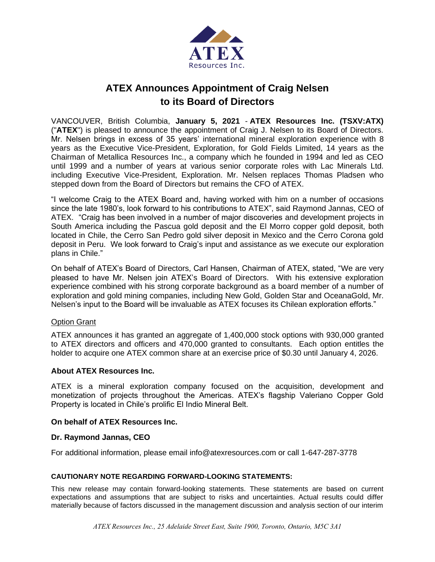

# **ATEX Announces Appointment of Craig Nelsen to its Board of Directors**

VANCOUVER, British Columbia, **January 5, 2021** - **ATEX Resources Inc. (TSXV:ATX)**  ("**ATEX**") is pleased to announce the appointment of Craig J. Nelsen to its Board of Directors. Mr. Nelsen brings in excess of 35 years' international mineral exploration experience with 8 years as the Executive Vice-President, Exploration, for Gold Fields Limited, 14 years as the Chairman of Metallica Resources Inc., a company which he founded in 1994 and led as CEO until 1999 and a number of years at various senior corporate roles with Lac Minerals Ltd. including Executive Vice-President, Exploration. Mr. Nelsen replaces Thomas Pladsen who stepped down from the Board of Directors but remains the CFO of ATEX.

"I welcome Craig to the ATEX Board and, having worked with him on a number of occasions since the late 1980's, look forward to his contributions to ATEX", said Raymond Jannas, CEO of ATEX. "Craig has been involved in a number of major discoveries and development projects in South America including the Pascua gold deposit and the El Morro copper gold deposit, both located in Chile, the Cerro San Pedro gold silver deposit in Mexico and the Cerro Corona gold deposit in Peru. We look forward to Craig's input and assistance as we execute our exploration plans in Chile."

On behalf of ATEX's Board of Directors, Carl Hansen, Chairman of ATEX, stated, "We are very pleased to have Mr. Nelsen join ATEX's Board of Directors. With his extensive exploration experience combined with his strong corporate background as a board member of a number of exploration and gold mining companies, including New Gold, Golden Star and OceanaGold, Mr. Nelsen's input to the Board will be invaluable as ATEX focuses its Chilean exploration efforts."

# Option Grant

ATEX announces it has granted an aggregate of 1,400,000 stock options with 930,000 granted to ATEX directors and officers and 470,000 granted to consultants. Each option entitles the holder to acquire one ATEX common share at an exercise price of \$0.30 until January 4, 2026.

# **About ATEX Resources Inc.**

ATEX is a mineral exploration company focused on the acquisition, development and monetization of projects throughout the Americas. ATEX's flagship Valeriano Copper Gold Property is located in Chile's prolific El Indio Mineral Belt.

### **On behalf of ATEX Resources Inc.**

### **Dr. Raymond Jannas, CEO**

For additional information, please email info@atexresources.com or call 1-647-287-3778

### **CAUTIONARY NOTE REGARDING FORWARD-LOOKING STATEMENTS:**

This new release may contain forward-looking statements. These statements are based on current expectations and assumptions that are subject to risks and uncertainties. Actual results could differ materially because of factors discussed in the management discussion and analysis section of our interim